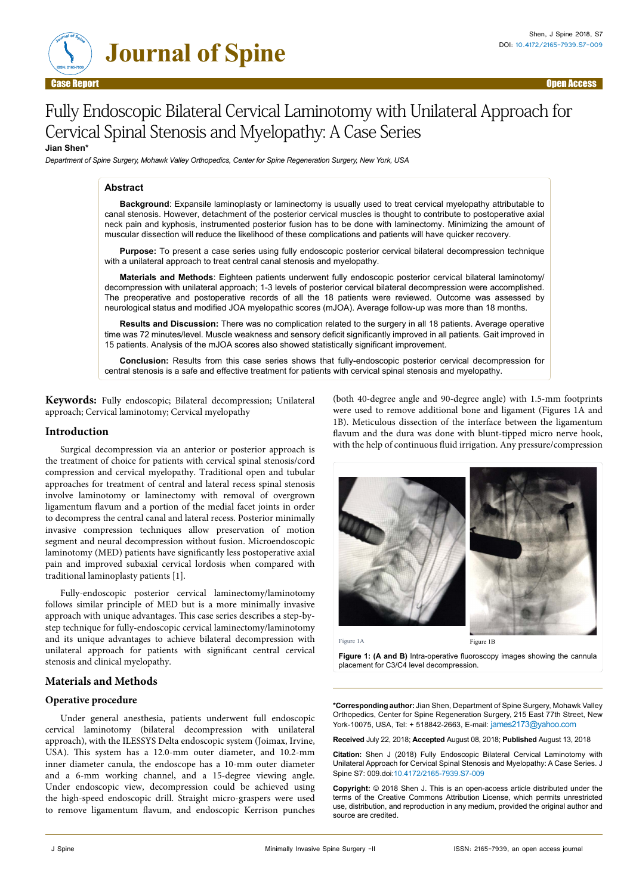

# Fully Endoscopic Bilateral Cervical Laminotomy with Unilateral Approach for Cervical Spinal Stenosis and Myelopathy: A Case Series

## **Jian Shen\***

*Department of Spine Surgery, Mohawk Valley Orthopedics, Center for Spine Regeneration Surgery, New York, USA*

#### **Abstract**

**Background**: Expansile laminoplasty or laminectomy is usually used to treat cervical myelopathy attributable to canal stenosis. However, detachment of the posterior cervical muscles is thought to contribute to postoperative axial neck pain and kyphosis, instrumented posterior fusion has to be done with laminectomy. Minimizing the amount of muscular dissection will reduce the likelihood of these complications and patients will have quicker recovery.

**Purpose:** To present a case series using fully endoscopic posterior cervical bilateral decompression technique with a unilateral approach to treat central canal stenosis and myelopathy.

**Materials and Methods**: Eighteen patients underwent fully endoscopic posterior cervical bilateral laminotomy/ decompression with unilateral approach; 1-3 levels of posterior cervical bilateral decompression were accomplished. The preoperative and postoperative records of all the 18 patients were reviewed. Outcome was assessed by neurological status and modified JOA myelopathic scores (mJOA). Average follow-up was more than 18 months.

**Results and Discussion:** There was no complication related to the surgery in all 18 patients. Average operative time was 72 minutes/level. Muscle weakness and sensory deficit significantly improved in all patients. Gait improved in 15 patients. Analysis of the mJOA scores also showed statistically significant improvement.

**Conclusion:** Results from this case series shows that fully-endoscopic posterior cervical decompression for central stenosis is a safe and effective treatment for patients with cervical spinal stenosis and myelopathy.

**Keywords:** Fully endoscopic; Bilateral decompression; Unilateral approach; Cervical laminotomy; Cervical myelopathy

#### **Introduction**

Surgical decompression via an anterior or posterior approach is the treatment of choice for patients with cervical spinal stenosis/cord compression and cervical myelopathy. Traditional open and tubular approaches for treatment of central and lateral recess spinal stenosis involve laminotomy or laminectomy with removal of overgrown ligamentum flavum and a portion of the medial facet joints in order to decompress the central canal and lateral recess. Posterior minimally invasive compression techniques allow preservation of motion segment and neural decompression without fusion. Microendoscopic laminotomy (MED) patients have significantly less postoperative axial pain and improved subaxial cervical lordosis when compared with traditional laminoplasty patients [1].

Fully-endoscopic posterior cervical laminectomy/laminotomy follows similar principle of MED but is a more minimally invasive approach with unique advantages. This case series describes a step-bystep technique for fully-endoscopic cervical laminectomy/laminotomy and its unique advantages to achieve bilateral decompression with unilateral approach for patients with significant central cervical stenosis and clinical myelopathy.

### **Materials and Methods**

#### **Operative procedure**

Under general anesthesia, patients underwent full endoscopic cervical laminotomy (bilateral decompression with unilateral approach), with the ILESSYS Delta endoscopic system (Joimax, Irvine, USA). This system has a 12.0-mm outer diameter, and 10.2-mm inner diameter canula, the endoscope has a 10-mm outer diameter and a 6-mm working channel, and a 15-degree viewing angle. Under endoscopic view, decompression could be achieved using the high-speed endoscopic drill. Straight micro-graspers were used to remove ligamentum flavum, and endoscopic Kerrison punches

(both 40-degree angle and 90-degree angle) with 1.5-mm footprints were used to remove additional bone and ligament (Figures 1A and 1B). Meticulous dissection of the interface between the ligamentum flavum and the dura was done with blunt-tipped micro nerve hook, with the help of continuous fluid irrigation. Any pressure/compression



Figure 1A Figure 1B

**Figure 1: (A and B)** Intra-operative fluoroscopy images showing the cannula placement for C3/C4 level decompression.

**\*Corresponding author:** Jian Shen, Department of Spine Surgery, Mohawk Valley Orthopedics, Center for Spine Regeneration Surgery, 215 East 77th Street, New York-10075, USA, Tel: + 518842-2663, E-mail: [james2173@yahoo.com](mailto:james2173@yahoo.com)

**Received** July 22, 2018; **Accepted** August 08, 2018; **Published** August 13, 2018

**Citation:** Shen J (2018) Fully Endoscopic Bilateral Cervical Laminotomy with Unilateral Approach for Cervical Spinal Stenosis and Myelopathy: A Case Series. J Spine S7: 009.doi:10.4172/2165-7939.S7-009

**Copyright:** © 2018 Shen J. This is an open-access article distributed under the terms of the Creative Commons Attribution License, which permits unrestricted use, distribution, and reproduction in any medium, provided the original author and source are credited.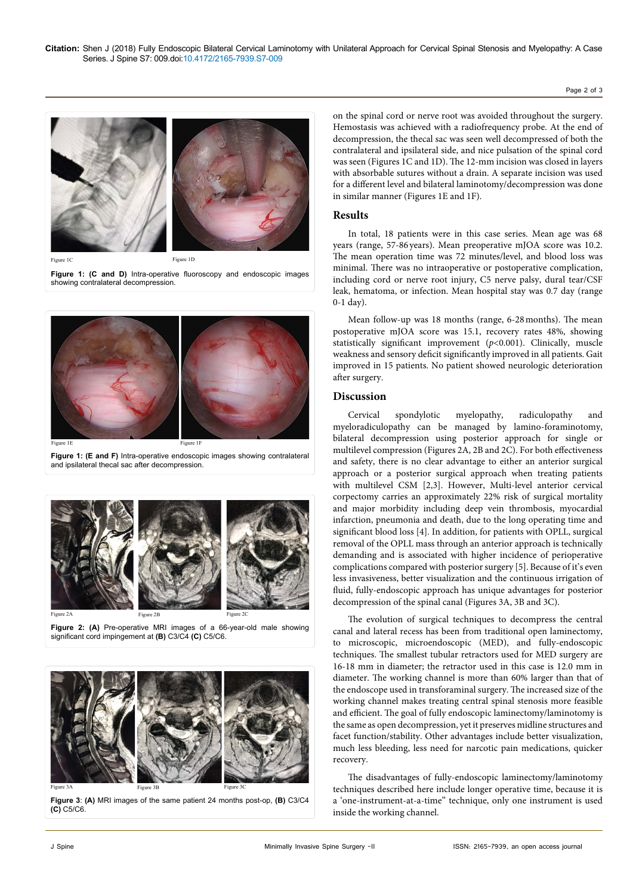

Figure 1C Figure 1D

Figure 1: (C and D) Intra-operative fluoroscopy and endoscopic images showing contralateral decompression.



**Figure 1: (E and F)** Intra-operative endoscopic images showing contralateral and ipsilateral thecal sac after decompression.



**Figure 2: (A)** Pre-operative MRI images of a 66-year-old male showing significant cord impingement at **(B)** C3/C4 **(C)** C5/C6.



**Figure 3**: **(A)** MRI images of the same patient 24 months post-op, **(B)** C3/C4 **(C)** C5/C6.

on the spinal cord or nerve root was avoided throughout the surgery. Hemostasis was achieved with a radiofrequency probe. At the end of decompression, the thecal sac was seen well decompressed of both the contralateral and ipsilateral side, and nice pulsation of the spinal cord was seen (Figures 1C and 1D). The 12-mm incision was closed in layers with absorbable sutures without a drain. A separate incision was used for a different level and bilateral laminotomy/decompression was done in similar manner (Figures 1E and 1F).

## **Results**

In total, 18 patients were in this case series. Mean age was 68 years (range, 57-86 years). Mean preoperative mJOA score was 10.2. The mean operation time was 72 minutes/level, and blood loss was minimal. There was no intraoperative or postoperative complication, including cord or nerve root injury, C5 nerve palsy, dural tear/CSF leak, hematoma, or infection. Mean hospital stay was 0.7 day (range 0-1 day).

Mean follow-up was 18 months (range, 6-28months). The mean postoperative mJOA score was 15.1, recovery rates 48%, showing statistically significant improvement (*p*<0.001). Clinically, muscle weakness and sensory deficit significantly improved in all patients. Gait improved in 15 patients. No patient showed neurologic deterioration after surgery.

## **Discussion**

Cervical spondylotic myelopathy, radiculopathy and myeloradiculopathy can be managed by lamino-foraminotomy, bilateral decompression using posterior approach for single or multilevel compression (Figures 2A, 2B and 2C). For both effectiveness and safety, there is no clear advantage to either an anterior surgical approach or a posterior surgical approach when treating patients with multilevel CSM [2,3]. However, Multi-level anterior cervical corpectomy carries an approximately 22% risk of surgical mortality and major morbidity including deep vein thrombosis, myocardial infarction, pneumonia and death, due to the long operating time and significant blood loss [4]. In addition, for patients with OPLL, surgical removal of the OPLL mass through an anterior approach is technically demanding and is associated with higher incidence of perioperative complications compared with posterior surgery [5]. Because of it's even less invasiveness, better visualization and the continuous irrigation of fluid, fully-endoscopic approach has unique advantages for posterior decompression of the spinal canal (Figures 3A, 3B and 3C).

The evolution of surgical techniques to decompress the central canal and lateral recess has been from traditional open laminectomy, to microscopic, microendoscopic (MED), and fully-endoscopic techniques. The smallest tubular retractors used for MED surgery are 16-18 mm in diameter; the retractor used in this case is 12.0 mm in diameter. The working channel is more than 60% larger than that of the endoscope used in transforaminal surgery. The increased size of the working channel makes treating central spinal stenosis more feasible and efficient. The goal of fully endoscopic laminectomy/laminotomy is the same as open decompression, yet it preserves midline structures and facet function/stability. Other advantages include better visualization, much less bleeding, less need for narcotic pain medications, quicker recovery.

The disadvantages of fully-endoscopic laminectomy/laminotomy techniques described here include longer operative time, because it is a 'one-instrument-at-a-time" technique, only one instrument is used inside the working channel.